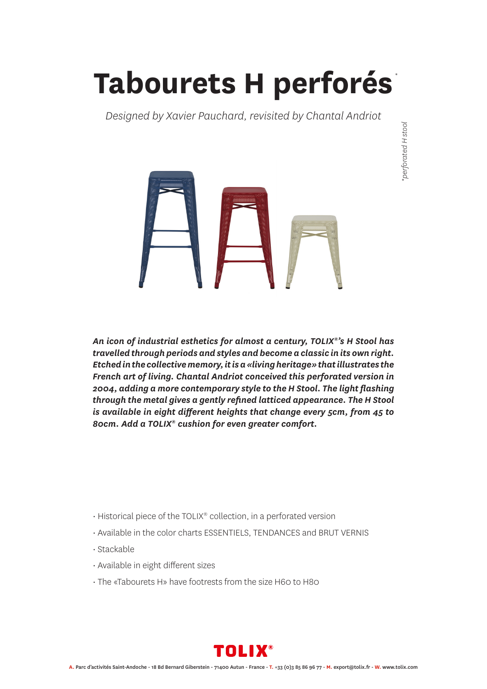## **Tabourets H perforés** *\**

*Designed by Xavier Pauchard, revisited by Chantal Andriot*





*An icon of industrial esthetics for almost a century, TOLIX®'s H Stool has travelled through periods and styles and become a classic in its own right. Etched in the collective memory, it is a «living heritage» that illustrates the French art of living. Chantal Andriot conceived this perforated version in 2004, adding a more contemporary style to the H Stool. The light flashing through the metal gives a gently refined latticed appearance. The H Stool is available in eight different heights that change every 5cm, from 45 to 80cm. Add a TOLIX® cushion for even greater comfort.*

- Historical piece of the TOLIX® collection, in a perforated version
- Available in the color charts ESSENTIELS, TENDANCES and BRUT VERNIS
- Stackable
- Available in eight different sizes
- The «Tabourets H» have footrests from the size H60 to H80